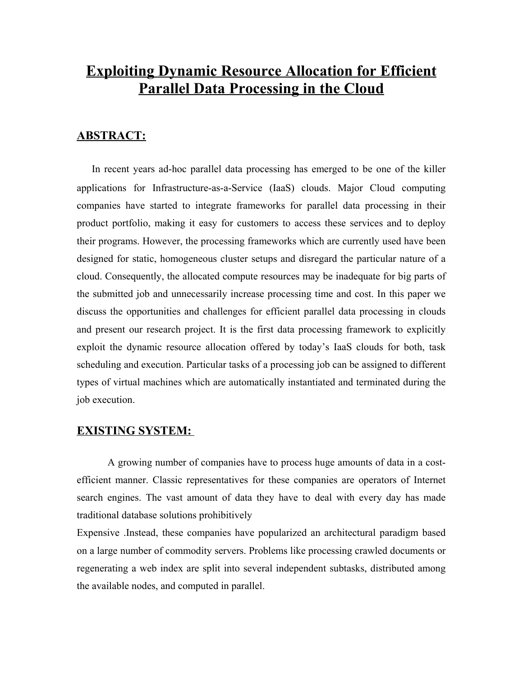# **Exploiting Dynamic Resource Allocation for Efficient Parallel Data Processing in the Cloud**

## **ABSTRACT:**

In recent years ad-hoc parallel data processing has emerged to be one of the killer applications for Infrastructure-as-a-Service (IaaS) clouds. Major Cloud computing companies have started to integrate frameworks for parallel data processing in their product portfolio, making it easy for customers to access these services and to deploy their programs. However, the processing frameworks which are currently used have been designed for static, homogeneous cluster setups and disregard the particular nature of a cloud. Consequently, the allocated compute resources may be inadequate for big parts of the submitted job and unnecessarily increase processing time and cost. In this paper we discuss the opportunities and challenges for efficient parallel data processing in clouds and present our research project. It is the first data processing framework to explicitly exploit the dynamic resource allocation offered by today's IaaS clouds for both, task scheduling and execution. Particular tasks of a processing job can be assigned to different types of virtual machines which are automatically instantiated and terminated during the job execution.

### **EXISTING SYSTEM:**

A growing number of companies have to process huge amounts of data in a costefficient manner. Classic representatives for these companies are operators of Internet search engines. The vast amount of data they have to deal with every day has made traditional database solutions prohibitively

Expensive .Instead, these companies have popularized an architectural paradigm based on a large number of commodity servers. Problems like processing crawled documents or regenerating a web index are split into several independent subtasks, distributed among the available nodes, and computed in parallel.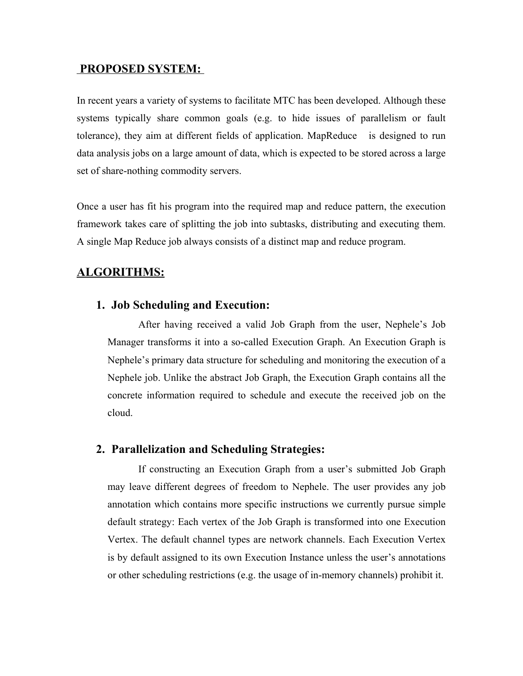#### **PROPOSED SYSTEM:**

In recent years a variety of systems to facilitate MTC has been developed. Although these systems typically share common goals (e.g. to hide issues of parallelism or fault tolerance), they aim at different fields of application. MapReduce is designed to run data analysis jobs on a large amount of data, which is expected to be stored across a large set of share-nothing commodity servers.

Once a user has fit his program into the required map and reduce pattern, the execution framework takes care of splitting the job into subtasks, distributing and executing them. A single Map Reduce job always consists of a distinct map and reduce program.

### **ALGORITHMS:**

#### **1. Job Scheduling and Execution:**

After having received a valid Job Graph from the user, Nephele's Job Manager transforms it into a so-called Execution Graph. An Execution Graph is Nephele's primary data structure for scheduling and monitoring the execution of a Nephele job. Unlike the abstract Job Graph, the Execution Graph contains all the concrete information required to schedule and execute the received job on the cloud.

### **2. Parallelization and Scheduling Strategies:**

If constructing an Execution Graph from a user's submitted Job Graph may leave different degrees of freedom to Nephele. The user provides any job annotation which contains more specific instructions we currently pursue simple default strategy: Each vertex of the Job Graph is transformed into one Execution Vertex. The default channel types are network channels. Each Execution Vertex is by default assigned to its own Execution Instance unless the user's annotations or other scheduling restrictions (e.g. the usage of in-memory channels) prohibit it.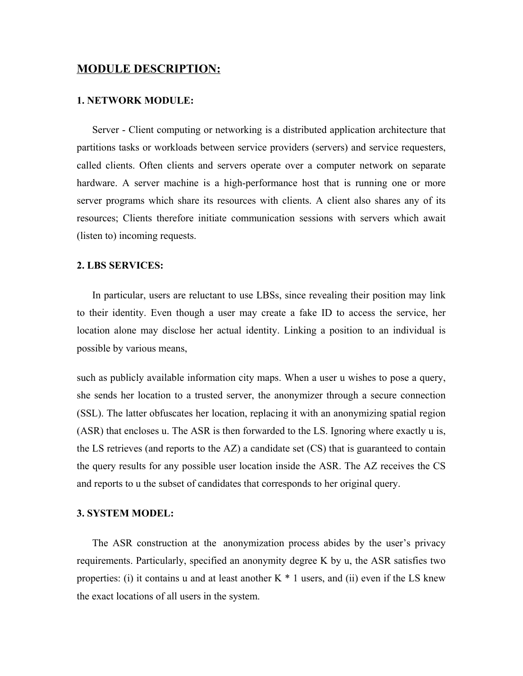#### **MODULE DESCRIPTION:**

#### **1. NETWORK MODULE:**

Server - Client computing or networking is a distributed application architecture that partitions tasks or workloads between service providers (servers) and service requesters, called clients. Often clients and servers operate over a computer network on separate hardware. A server machine is a high-performance host that is running one or more server programs which share its resources with clients. A client also shares any of its resources; Clients therefore initiate communication sessions with servers which await (listen to) incoming requests.

#### **2. LBS SERVICES:**

In particular, users are reluctant to use LBSs, since revealing their position may link to their identity. Even though a user may create a fake ID to access the service, her location alone may disclose her actual identity. Linking a position to an individual is possible by various means,

such as publicly available information city maps. When a user u wishes to pose a query, she sends her location to a trusted server, the anonymizer through a secure connection (SSL). The latter obfuscates her location, replacing it with an anonymizing spatial region (ASR) that encloses u. The ASR is then forwarded to the LS. Ignoring where exactly u is, the LS retrieves (and reports to the  $AZ$ ) a candidate set (CS) that is guaranteed to contain the query results for any possible user location inside the ASR. The AZ receives the CS and reports to u the subset of candidates that corresponds to her original query.

#### **3. SYSTEM MODEL:**

The ASR construction at the anonymization process abides by the user's privacy requirements. Particularly, specified an anonymity degree K by u, the ASR satisfies two properties: (i) it contains u and at least another  $K * 1$  users, and (ii) even if the LS knew the exact locations of all users in the system.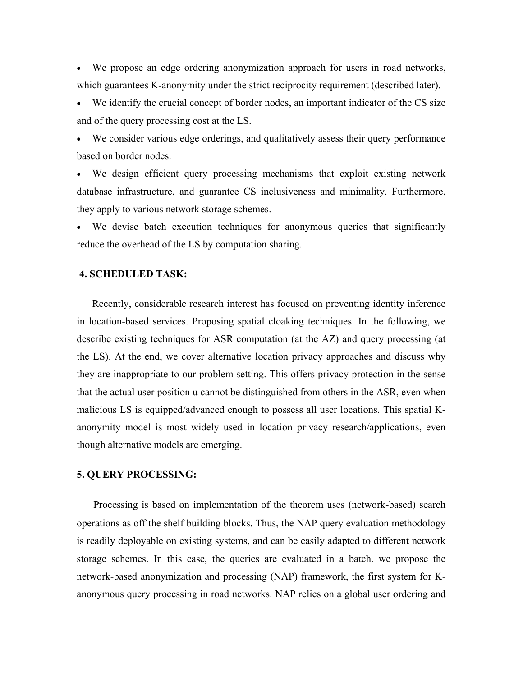· We propose an edge ordering anonymization approach for users in road networks, which guarantees K-anonymity under the strict reciprocity requirement (described later).

We identify the crucial concept of border nodes, an important indicator of the CS size and of the query processing cost at the LS.

We consider various edge orderings, and qualitatively assess their query performance based on border nodes.

We design efficient query processing mechanisms that exploit existing network database infrastructure, and guarantee CS inclusiveness and minimality. Furthermore, they apply to various network storage schemes.

· We devise batch execution techniques for anonymous queries that significantly reduce the overhead of the LS by computation sharing.

#### **4. SCHEDULED TASK:**

Recently, considerable research interest has focused on preventing identity inference in location-based services. Proposing spatial cloaking techniques. In the following, we describe existing techniques for ASR computation (at the AZ) and query processing (at the LS). At the end, we cover alternative location privacy approaches and discuss why they are inappropriate to our problem setting. This offers privacy protection in the sense that the actual user position u cannot be distinguished from others in the ASR, even when malicious LS is equipped/advanced enough to possess all user locations. This spatial Kanonymity model is most widely used in location privacy research/applications, even though alternative models are emerging.

#### **5. QUERY PROCESSING:**

Processing is based on implementation of the theorem uses (network-based) search operations as off the shelf building blocks. Thus, the NAP query evaluation methodology is readily deployable on existing systems, and can be easily adapted to different network storage schemes. In this case, the queries are evaluated in a batch. we propose the network-based anonymization and processing (NAP) framework, the first system for Kanonymous query processing in road networks. NAP relies on a global user ordering and